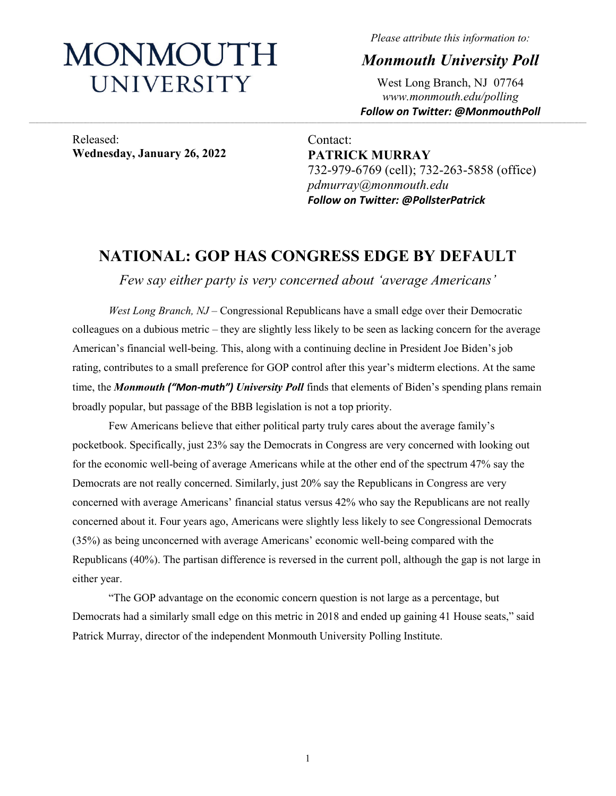# MONMOUTH UNIVERSITY

*Please attribute this information to:*

*Monmouth University Poll*

West Long Branch, NJ 07764 *www.monmouth.edu/polling Follow on Twitter: @MonmouthPoll*

Released: **Wednesday, January 26, 2022**

Contact: **PATRICK MURRAY** 732-979-6769 (cell); 732-263-5858 (office) *pdmurray@monmouth.edu Follow on Twitter: @PollsterPatrick*

# **NATIONAL: GOP HAS CONGRESS EDGE BY DEFAULT**

*Few say either party is very concerned about 'average Americans'*

*West Long Branch, NJ* – Congressional Republicans have a small edge over their Democratic colleagues on a dubious metric – they are slightly less likely to be seen as lacking concern for the average American's financial well-being. This, along with a continuing decline in President Joe Biden's job rating, contributes to a small preference for GOP control after this year's midterm elections. At the same time, the *Monmouth ("Mon-muth") University Poll* finds that elements of Biden's spending plans remain broadly popular, but passage of the BBB legislation is not a top priority.

Few Americans believe that either political party truly cares about the average family's pocketbook. Specifically, just 23% say the Democrats in Congress are very concerned with looking out for the economic well-being of average Americans while at the other end of the spectrum 47% say the Democrats are not really concerned. Similarly, just 20% say the Republicans in Congress are very concerned with average Americans' financial status versus 42% who say the Republicans are not really concerned about it. Four years ago, Americans were slightly less likely to see Congressional Democrats (35%) as being unconcerned with average Americans' economic well-being compared with the Republicans (40%). The partisan difference is reversed in the current poll, although the gap is not large in either year.

"The GOP advantage on the economic concern question is not large as a percentage, but Democrats had a similarly small edge on this metric in 2018 and ended up gaining 41 House seats," said Patrick Murray, director of the independent Monmouth University Polling Institute.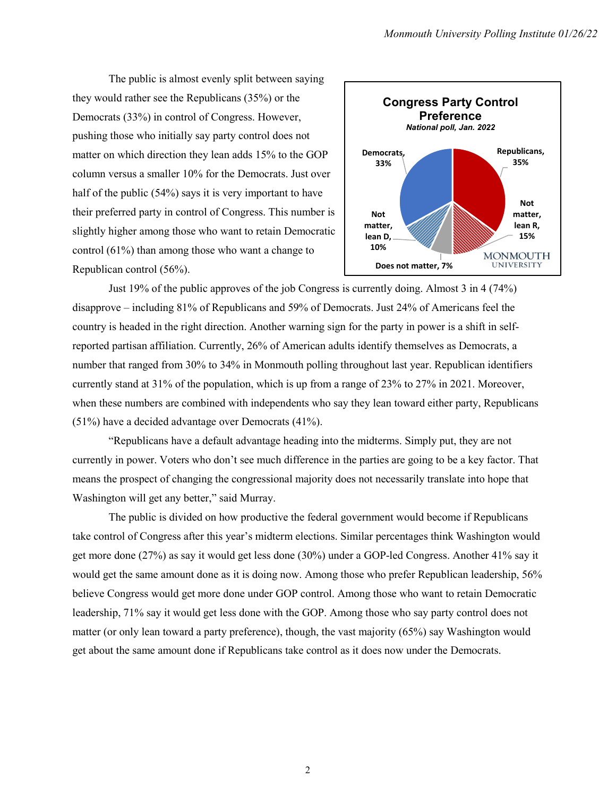The public is almost evenly split between saying they would rather see the Republicans (35%) or the Democrats (33%) in control of Congress. However, pushing those who initially say party control does not matter on which direction they lean adds 15% to the GOP column versus a smaller 10% for the Democrats. Just over half of the public (54%) says it is very important to have their preferred party in control of Congress. This number is slightly higher among those who want to retain Democratic control (61%) than among those who want a change to Republican control (56%).



Just 19% of the public approves of the job Congress is currently doing. Almost 3 in 4 (74%) disapprove – including 81% of Republicans and 59% of Democrats. Just 24% of Americans feel the country is headed in the right direction. Another warning sign for the party in power is a shift in selfreported partisan affiliation. Currently, 26% of American adults identify themselves as Democrats, a number that ranged from 30% to 34% in Monmouth polling throughout last year. Republican identifiers currently stand at 31% of the population, which is up from a range of 23% to 27% in 2021. Moreover, when these numbers are combined with independents who say they lean toward either party, Republicans (51%) have a decided advantage over Democrats (41%).

"Republicans have a default advantage heading into the midterms. Simply put, they are not currently in power. Voters who don't see much difference in the parties are going to be a key factor. That means the prospect of changing the congressional majority does not necessarily translate into hope that Washington will get any better," said Murray.

The public is divided on how productive the federal government would become if Republicans take control of Congress after this year's midterm elections. Similar percentages think Washington would get more done (27%) as say it would get less done (30%) under a GOP-led Congress. Another 41% say it would get the same amount done as it is doing now. Among those who prefer Republican leadership, 56% believe Congress would get more done under GOP control. Among those who want to retain Democratic leadership, 71% say it would get less done with the GOP. Among those who say party control does not matter (or only lean toward a party preference), though, the vast majority (65%) say Washington would get about the same amount done if Republicans take control as it does now under the Democrats.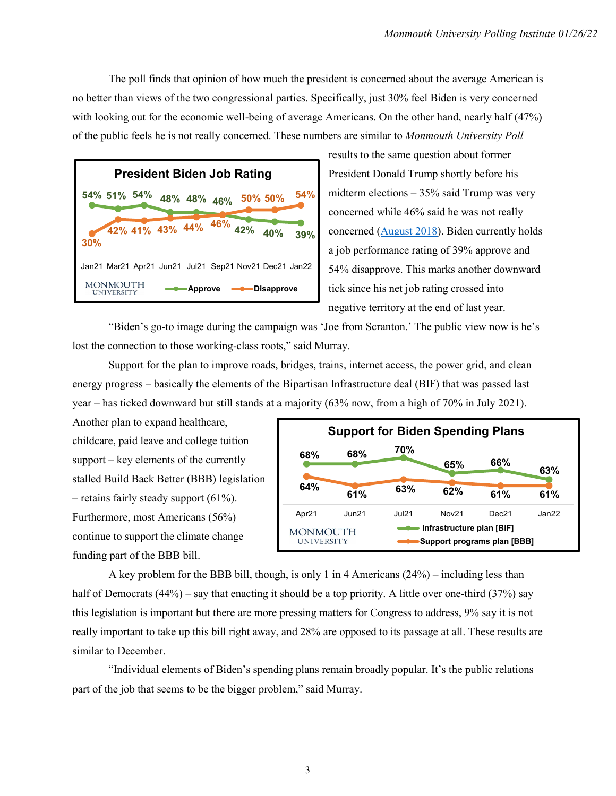The poll finds that opinion of how much the president is concerned about the average American is no better than views of the two congressional parties. Specifically, just 30% feel Biden is very concerned with looking out for the economic well-being of average Americans. On the other hand, nearly half (47%) of the public feels he is not really concerned. These numbers are similar to *Monmouth University Poll*

| <b>President Biden Job Rating</b>                     |                |                     |            |     |
|-------------------------------------------------------|----------------|---------------------|------------|-----|
| 54% 51% 54%                                           |                | 48% 48% 46% 50% 50% |            | 54% |
|                                                       |                |                     |            |     |
| 42% 41% 43% 44% 46% 42% 40% 39%<br>30%                |                |                     |            |     |
| Jan21 Mar21 Apr21 Jun21 Jul21 Sep21 Nov21 Dec21 Jan22 |                |                     |            |     |
| <b>MONMOUTH</b><br>UNIVERSITY                         | <b>Approve</b> |                     | Disapprove |     |

results to the same question about former President Donald Trump shortly before his midterm elections – 35% said Trump was very concerned while 46% said he was not really concerned [\(August 2018\)](https://www.monmouth.edu/polling-institute/reports/monmouthpoll_us_082218/#Question10). Biden currently holds a job performance rating of 39% approve and 54% disapprove. This marks another downward tick since his net job rating crossed into negative territory at the end of last year.

"Biden's go-to image during the campaign was 'Joe from Scranton.' The public view now is he's lost the connection to those working-class roots," said Murray.

Support for the plan to improve roads, bridges, trains, internet access, the power grid, and clean energy progress – basically the elements of the Bipartisan Infrastructure deal (BIF) that was passed last year – has ticked downward but still stands at a majority (63% now, from a high of 70% in July 2021).

Another plan to expand healthcare, childcare, paid leave and college tuition support – key elements of the currently stalled Build Back Better (BBB) legislation – retains fairly steady support  $(61\%)$ . Furthermore, most Americans (56%) continue to support the climate change funding part of the BBB bill.



A key problem for the BBB bill, though, is only 1 in 4 Americans (24%) – including less than half of Democrats (44%) – say that enacting it should be a top priority. A little over one-third (37%) say this legislation is important but there are more pressing matters for Congress to address, 9% say it is not really important to take up this bill right away, and 28% are opposed to its passage at all. These results are similar to December.

"Individual elements of Biden's spending plans remain broadly popular. It's the public relations part of the job that seems to be the bigger problem," said Murray.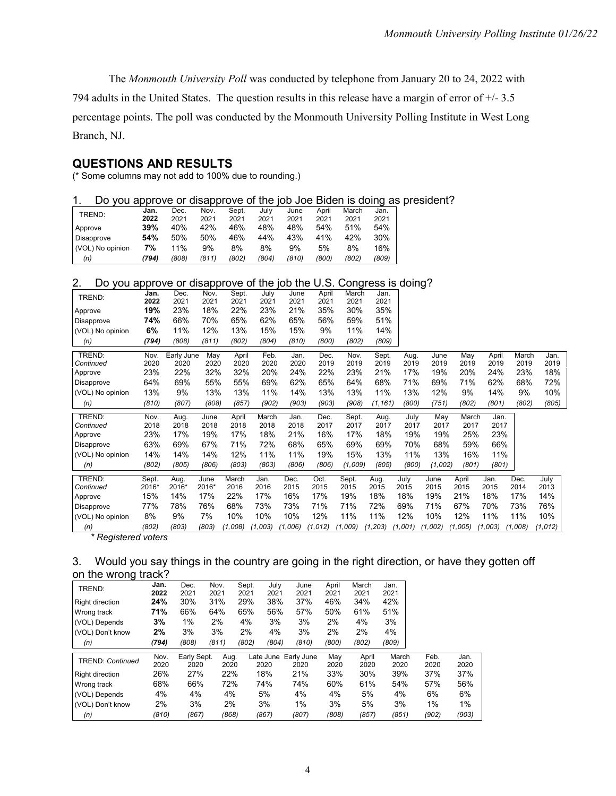The *Monmouth University Poll* was conducted by telephone from January 20 to 24, 2022 with

794 adults in the United States. The question results in this release have a margin of error of +/- 3.5 percentage points. The poll was conducted by the Monmouth University Polling Institute in West Long Branch, NJ.

## **QUESTIONS AND RESULTS**

(\* Some columns may not add to 100% due to rounding.)

#### 1. Do you approve or disapprove of the job Joe Biden is doing as president?

|                   |       |      | .     |       |       |       |       |       | . .   |
|-------------------|-------|------|-------|-------|-------|-------|-------|-------|-------|
| TREND:            | Jan.  | Dec. | Nov.  | Sept. | July  | June  | April | March | Jan.  |
|                   | 2022  | 2021 | 2021  | 2021  | 2021  | 2021  | 2021  | 2021  | 2021  |
| Approve           | 39%   | 40%  | 42%   | 46%   | 48%   | 48%   | 54%   | 51%   | 54%   |
| <b>Disapprove</b> | 54%   | 50%  | 50%   | 46%   | 44%   | 43%   | 41%   | 42%   | 30%   |
| (VOL) No opinion  | 7%    | 11%  | 9%    | 8%    | 8%    | 9%    | 5%    | 8%    | 16%   |
| (n)               | (794) | (808 | (811) | (802) | (804) | (810) | (800) | (802) | (809) |

#### 2. Do you approve or disapprove of the job the U.S. Congress is doing?

| TREND:                                   | Jan.                     | Dec.       | Nov.  | Sept.   | July    | June    | April    | March   | Jan.     |         |         |         |         |         |         |
|------------------------------------------|--------------------------|------------|-------|---------|---------|---------|----------|---------|----------|---------|---------|---------|---------|---------|---------|
|                                          | 2022                     | 2021       | 2021  | 2021    | 2021    | 2021    | 2021     | 2021    | 2021     |         |         |         |         |         |         |
| Approve                                  | 19%                      | 23%        | 18%   | 22%     | 23%     | 21%     | 35%      | 30%     | 35%      |         |         |         |         |         |         |
| Disapprove                               | 74%                      | 66%        | 70%   | 65%     | 62%     | 65%     | 56%      | 59%     | 51%      |         |         |         |         |         |         |
| (VOL) No opinion                         | 6%                       | 11%        | 12%   | 13%     | 15%     | 15%     | 9%       | 11%     | 14%      |         |         |         |         |         |         |
| (n)                                      | (794)                    | (808)      | (811) | (802)   | (804)   | (810)   | (800)    | (802)   | (809)    |         |         |         |         |         |         |
| TREND:                                   | Nov.                     | Early June | May   | April   | Feb.    | Jan.    | Dec.     | Nov.    | Sept.    | Aug.    | June    | May     | April   | March   | Jan.    |
| Continued                                | 2020                     | 2020       | 2020  | 2020    | 2020    | 2020    | 2019     | 2019    | 2019     | 2019    | 2019    | 2019    | 2019    | 2019    | 2019    |
| Approve                                  | 23%                      | 22%        | 32%   | 32%     | 20%     | 24%     | 22%      | 23%     | 21%      | 17%     | 19%     | 20%     | 24%     | 23%     | 18%     |
| Disapprove                               | 64%                      | 69%        | 55%   | 55%     | 69%     | 62%     | 65%      | 64%     | 68%      | 71%     | 69%     | 71%     | 62%     | 68%     | 72%     |
| (VOL) No opinion                         | 13%                      | 9%         | 13%   | 13%     | 11%     | 14%     | 13%      | 13%     | 11%      | 13%     | 12%     | 9%      | 14%     | 9%      | 10%     |
| (n)                                      | (810)                    | (807)      | (808) | (857)   | (902)   | (903)   | (903)    | (908)   | (1, 161) | (800)   | (751)   | (802)   | (801)   | (802)   | (805)   |
| TREND:                                   | Nov.                     | Aug.       | June  | April   | March   | Jan.    | Dec.     | Sept.   | Aug.     | July    | May     | March   | Jan.    |         |         |
| Continued                                | 2018                     | 2018       | 2018  | 2018    | 2018    | 2018    | 2017     | 2017    | 2017     | 2017    | 2017    | 2017    | 2017    |         |         |
| Approve                                  | 23%                      | 17%        | 19%   | 17%     | 18%     | 21%     | 16%      | 17%     | 18%      | 19%     | 19%     | 25%     | 23%     |         |         |
| Disapprove                               | 63%                      | 69%        | 67%   | 71%     | 72%     | 68%     | 65%      | 69%     | 69%      | 70%     | 68%     | 59%     | 66%     |         |         |
| (VOL) No opinion                         | 14%                      | 14%        | 14%   | 12%     | 11%     | 11%     | 19%      | 15%     | 13%      | 11%     | 13%     | 16%     | 11%     |         |         |
| (n)                                      | (802)                    | (805)      | (806) | (803)   | (803)   | (806)   | (806)    | (1,009) | (805)    | (800)   | (1,002) | (801)   | (801)   |         |         |
| TREND:                                   | Sept.                    | Aug.       | June  | March   | Jan.    | Dec.    | Oct.     | Sept.   | Aug.     | July    | June    | April   | Jan.    | Dec.    | July    |
| Continued                                | 2016*                    | 2016*      | 2016* | 2016    | 2016    | 2015    | 2015     | 2015    | 2015     | 2015    | 2015    | 2015    | 2015    | 2014    | 2013    |
| Approve                                  | 15%                      | 14%        | 17%   | 22%     | 17%     | 16%     | 17%      | 19%     | 18%      | 18%     | 19%     | 21%     | 18%     | 17%     | 14%     |
| Disapprove                               | 77%                      | 78%        | 76%   | 68%     | 73%     | 73%     | 71%      | 71%     | 72%      | 69%     | 71%     | 67%     | 70%     | 73%     | 76%     |
| (VOL) No opinion                         | 8%                       | 9%         | 7%    | 10%     | 10%     | 10%     | 12%      | 11%     | 11%      | 12%     | 10%     | 12%     | 11%     | 11%     | 10%     |
| (n)<br>$\overline{a}$<br>$\cdot$ $\cdot$ | (802)<br>$\cdot$ $\cdot$ | (803)      | (803) | (1,008) | (1,003) | (1,006) | (1, 012) | (1,009) | (1, 203) | (1,001) | (1,002) | (1,005) | (1,003) | (1,008) | (1,012) |

*\* Registered voters* 

## 3. Would you say things in the country are going in the right direction, or have they gotten off on the wrong track?

| TREND:                  | Jan.  | Dec.        | Nov.  | Sept. | July      | June       | April | March | Jan.  |      |      |
|-------------------------|-------|-------------|-------|-------|-----------|------------|-------|-------|-------|------|------|
|                         | 2022  | 2021        | 2021  | 2021  | 2021      | 2021       | 2021  | 2021  | 2021  |      |      |
| <b>Right direction</b>  | 24%   | 30%         | 31%   | 29%   | 38%       | 37%        | 46%   | 34%   | 42%   |      |      |
| Wrong track             | 71%   | 66%         | 64%   | 65%   | 56%       | 57%        | 50%   | 61%   | 51%   |      |      |
| (VOL) Depends           | 3%    | 1%          | 2%    | 4%    | 3%        | 3%         | 2%    | 4%    | 3%    |      |      |
| (VOL) Don't know        | 2%    | 3%          | 3%    | 2%    | 4%        | 3%         | 2%    | 2%    | 4%    |      |      |
| (n)                     | (794) | (808)       | (811) | (802) | (804)     | (810)      | (800) | (802) | (809) |      |      |
|                         |       |             |       |       |           |            |       |       |       |      |      |
|                         | Nov.  | Early Sept. | Aug.  |       | Late June | Early June | May   | April | March | Feb. | Jan. |
| <b>TREND: Continued</b> | 2020  | 2020        | 2020  |       | 2020      | 2020       | 2020  | 2020  | 2020  | 2020 | 2020 |
| <b>Right direction</b>  | 26%   | 27%         | 22%   |       | 18%       | 21%        | 33%   | 30%   | 39%   | 37%  | 37%  |
| Wrong track             | 68%   | 66%         | 72%   |       | 74%       | 74%        | 60%   | 61%   | 54%   | 57%  | 56%  |
| (VOL) Depends           | 4%    | 4%          | 4%    |       | 5%        | 4%         | 4%    | 5%    | 4%    | 6%   | 6%   |
| (VOL) Don't know        | 2%    | 3%          | 2%    |       | 3%        | 1%         | 3%    | 5%    | 3%    | 1%   | 1%   |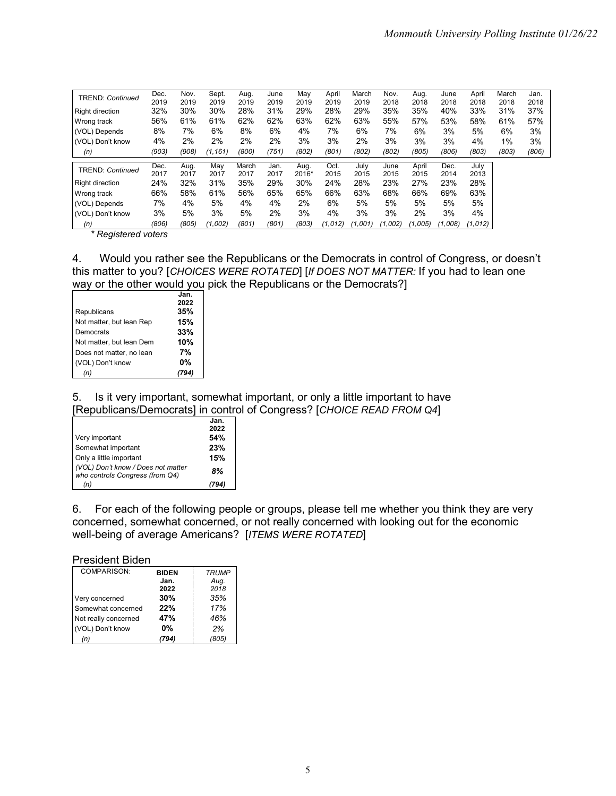| <b>TREND: Continued</b> | Dec.  | Nov.  | Sept.    | Aug.  | June  | May   | April   | March   | Nov.    | Aug.    | June    | April   | March | Jan.  |
|-------------------------|-------|-------|----------|-------|-------|-------|---------|---------|---------|---------|---------|---------|-------|-------|
|                         | 2019  | 2019  | 2019     | 2019  | 2019  | 2019  | 2019    | 2019    | 2018    | 2018    | 2018    | 2018    | 2018  | 2018  |
| <b>Right direction</b>  | 32%   | 30%   | 30%      | 28%   | 31%   | 29%   | 28%     | 29%     | 35%     | 35%     | 40%     | 33%     | 31%   | 37%   |
| Wrong track             | 56%   | 61%   | 61%      | 62%   | 62%   | 63%   | 62%     | 63%     | 55%     | 57%     | 53%     | 58%     | 61%   | 57%   |
| (VOL) Depends           | 8%    | 7%    | 6%       | 8%    | 6%    | 4%    | 7%      | 6%      | 7%      | 6%      | 3%      | 5%      | 6%    | 3%    |
| (VOL) Don't know        | 4%    | 2%    | 2%       | 2%    | 2%    | 3%    | 3%      | 2%      | 3%      | 3%      | 3%      | 4%      | 1%    | 3%    |
| (n)                     | (903) | (908) | (1, 161) | (800) | (751) | (802) | (801)   | (802)   | (802)   | (805)   | (806)   | (803)   | (803) | (806) |
|                         | Dec.  | Aug.  | May      | March | Jan.  | Aug.  | Oct.    | July    | June    | April   | Dec.    | July    |       |       |
| TREND: Continued        | 2017  | 2017  | 2017     | 2017  | 2017  | 2016* | 2015    | 2015    | 2015    | 2015    | 2014    | 2013    |       |       |
| <b>Right direction</b>  | 24%   | 32%   | 31%      | 35%   | 29%   | 30%   | 24%     | 28%     | 23%     | 27%     | 23%     | 28%     |       |       |
| Wrong track             | 66%   | 58%   | 61%      | 56%   | 65%   | 65%   | 66%     | 63%     | 68%     | 66%     | 69%     | 63%     |       |       |
| (VOL) Depends           | 7%    | 4%    | 5%       | 4%    | 4%    | 2%    | 6%      | 5%      | 5%      | 5%      | 5%      | 5%      |       |       |
| (VOL) Don't know        | 3%    | 5%    | 3%       | 5%    | 2%    | 3%    | 4%      | 3%      | 3%      | 2%      | 3%      | 4%      |       |       |
| (n)                     | (806) | (805) | (1,002)  | (801) | (801) | (803) | (1,012) | (1,001) | (1,002) | (1,005) | (1,008) | (1,012) |       |       |

*\* Registered voters*

4. Would you rather see the Republicans or the Democrats in control of Congress, or doesn't this matter to you? [*CHOICES WERE ROTATED*] [*If DOES NOT MATTER:* If you had to lean one way or the other would you pick the Republicans or the Democrats?]

|                          | Jan.<br>2022 |
|--------------------------|--------------|
| Republicans              | 35%          |
| Not matter, but lean Rep | 15%          |
| Democrats                | 33%          |
| Not matter, but lean Dem | 10%          |
| Does not matter, no lean | 7%           |
| (VOL) Don't know         | 0%           |
|                          |              |

5. Is it very important, somewhat important, or only a little important to have [Republicans/Democrats] in control of Congress? [*CHOICE READ FROM Q4*]

|                                                                       | Jan. |
|-----------------------------------------------------------------------|------|
|                                                                       | 2022 |
| Very important                                                        | 54%  |
| Somewhat important                                                    | 23%  |
| Only a little important                                               | 15%  |
| (VOL) Don't know / Does not matter<br>who controls Congress (from Q4) | 8%   |
| (n)                                                                   |      |

6. For each of the following people or groups, please tell me whether you think they are very concerned, somewhat concerned, or not really concerned with looking out for the economic well-being of average Americans? [*ITEMS WERE ROTATED*]

#### President Biden

| COMPARISON:          | <b>BIDEN</b> | <b>TRUMP</b> |
|----------------------|--------------|--------------|
|                      | Jan.         | Aug.         |
|                      | 2022         | 2018         |
| Very concerned       | 30%          | 35%          |
| Somewhat concerned   | 22%          | 17%          |
| Not really concerned | 47%          | 46%          |
| (VOL) Don't know     | $0\%$        | 2%           |
| (n)                  | 794)         | (805)        |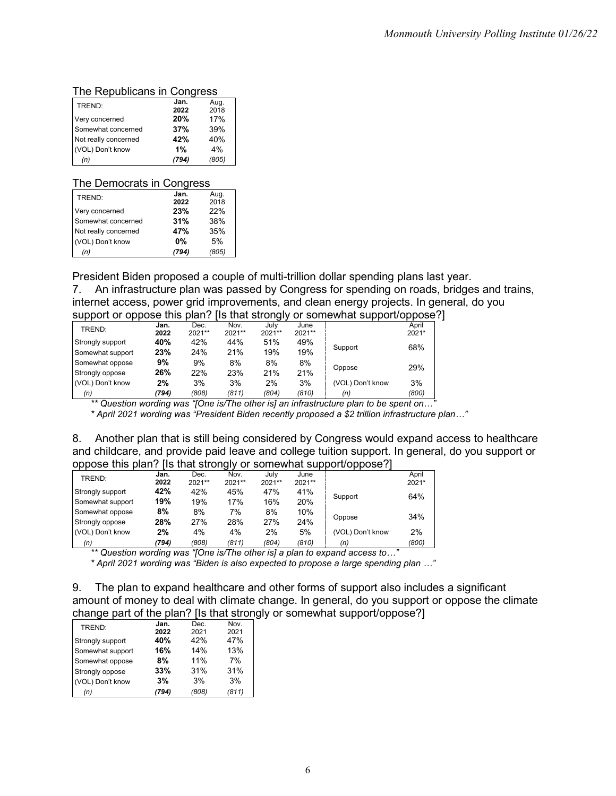## The Republicans in Congress

| TREND:               | Jan. | Aug.  |
|----------------------|------|-------|
|                      | 2022 | 2018  |
| Very concerned       | 20%  | 17%   |
| Somewhat concerned   | 37%  | 39%   |
| Not really concerned | 42%  | 40%   |
| (VOL) Don't know     | 1%   | 4%    |
| (n)                  | 794) | (805) |

#### The Democrats in Congress

| TREND:               | Jan.  | Aug.  |
|----------------------|-------|-------|
|                      | 2022  | 2018  |
| Very concerned       | 23%   | 22%   |
| Somewhat concerned   | 31%   | 38%   |
| Not really concerned | 47%   | 35%   |
| (VOL) Don't know     | $0\%$ | 5%    |
| (n)                  | (794) | (805) |

President Biden proposed a couple of multi-trillion dollar spending plans last year.

7. An infrastructure plan was passed by Congress for spending on roads, bridges and trains, internet access, power grid improvements, and clean energy projects. In general, do you support or oppose this plan? [Is that strongly or somewhat support/oppose?]

| . .              |              |                |                | ັ              |                | . .              | . .            |
|------------------|--------------|----------------|----------------|----------------|----------------|------------------|----------------|
| TREND:           | Jan.<br>2022 | Dec.<br>2021** | Nov.<br>2021** | July<br>2021** | June<br>2021** |                  | April<br>2021* |
| Strongly support | 40%          | 42%            | 44%            | 51%            | 49%            |                  | 68%            |
| Somewhat support | 23%          | 24%            | 21%            | 19%            | 19%            | Support          |                |
| Somewhat oppose  | 9%           | 9%             | 8%             | 8%             | 8%             |                  |                |
| Strongly oppose  | 26%          | 22%            | 23%            | 21%            | 21%            | Oppose           | 29%            |
| (VOL) Don't know | 2%           | 3%             | 3%             | 2%             | 3%             | (VOL) Don't know | 3%             |
| (n)              | (794)        | (808)          | (811)          | (804)          | (810)          | (n)              | (800)          |

*\*\* Question wording was "[One is/The other is] an infrastructure plan to be spent on…"*

*\* April 2021 wording was "President Biden recently proposed a \$2 trillion infrastructure plan…"*

| 8. Another plan that is still being considered by Congress would expand access to healthcare     |
|--------------------------------------------------------------------------------------------------|
| and childcare, and provide paid leave and college tuition support. In general, do you support or |
| oppose this plan? [Is that strongly or somewhat support/oppose?]                                 |

| TREND:                 | Jan.  | Dec.   | Nov.   | July   | June     |                                                                          | April |
|------------------------|-------|--------|--------|--------|----------|--------------------------------------------------------------------------|-------|
|                        | 2022  | 2021** | 2021** | 2021** | $2021**$ |                                                                          | 2021* |
| Strongly support       | 42%   | 42%    | 45%    | 47%    | 41%      |                                                                          | 64%   |
| Somewhat support       | 19%   | 19%    | 17%    | 16%    | 20%      | Support                                                                  |       |
| Somewhat oppose        | 8%    | 8%     | 7%     | 8%     | 10%      |                                                                          |       |
| Strongly oppose        | 28%   | 27%    | 28%    | 27%    | 24%      | Oppose                                                                   | 34%   |
| (VOL) Don't know       | 2%    | 4%     | 4%     | 2%     | 5%       | (VOL) Don't know                                                         | 2%    |
| (n)                    | (794) | (808)  | (811)  | (804)  | (810)    | (n)                                                                      | (800) |
| $+$ $ +$ $ +$ $+$ $ -$ |       |        |        |        |          | $\mathcal{L}$ . The state of $\mathcal{L}$ is the state of $\mathcal{L}$ | 77    |

*\*\* Question wording was "[One is/The other is] a plan to expand access to…"*

*\* April 2021 wording was "Biden is also expected to propose a large spending plan …"*

9. The plan to expand healthcare and other forms of support also includes a significant amount of money to deal with climate change. In general, do you support or oppose the climate change part of the plan? [Is that strongly or somewhat support/oppose?]

| TREND:           | Jan. | Dec.  | Nov.  |
|------------------|------|-------|-------|
|                  | 2022 | 2021  | 2021  |
| Strongly support | 40%  | 42%   | 47%   |
| Somewhat support | 16%  | 14%   | 13%   |
| Somewhat oppose  | 8%   | 11%   | 7%    |
| Strongly oppose  | 33%  | 31%   | 31%   |
| (VOL) Don't know | 3%   | 3%    | 3%    |
| (n)              | 794) | (808) | (811) |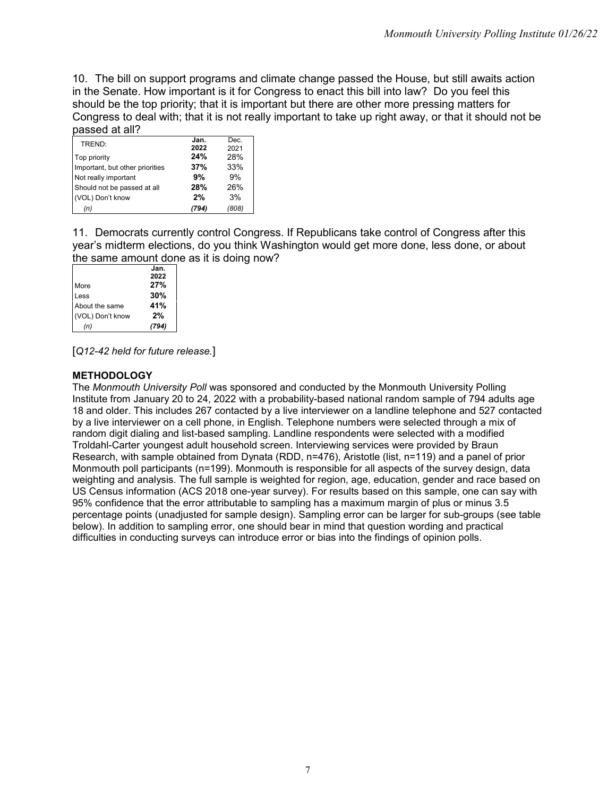10. The bill on support programs and climate change passed the House, but still awaits action in the Senate. How important is it for Congress to enact this bill into law? Do you feel this should be the top priority; that it is important but there are other more pressing matters for Congress to deal with; that it is not really important to take up right away, or that it should not be passed at all?

| TREND:                          | Jan.<br>2022 | Dec.<br>2021 |
|---------------------------------|--------------|--------------|
|                                 | 24%          | 28%          |
| Top priority                    |              |              |
| Important, but other priorities | 37%          | 33%          |
| Not really important            | 9%           | 9%           |
| Should not be passed at all     | 28%          | 26%          |
| (VOL) Don't know                | 2%           | 3%           |
| (n)                             | (794)        | (808)        |

11. Democrats currently control Congress. If Republicans take control of Congress after this year's midterm elections, do you think Washington would get more done, less done, or about the same amount done as it is doing now?

|                  | Jan.  |
|------------------|-------|
|                  | 2022  |
| More             | 27%   |
| Less             | 30%   |
| About the same   | 41%   |
| (VOL) Don't know | 2%    |
| (n)              | (794) |
|                  |       |

[*Q12-42 held for future release.*]

# **METHODOLOGY**

The *Monmouth University Poll* was sponsored and conducted by the Monmouth University Polling Institute from January 20 to 24, 2022 with a probability-based national random sample of 794 adults age 18 and older. This includes 267 contacted by a live interviewer on a landline telephone and 527 contacted by a live interviewer on a cell phone, in English. Telephone numbers were selected through a mix of random digit dialing and list-based sampling. Landline respondents were selected with a modified Troldahl-Carter youngest adult household screen. Interviewing services were provided by Braun Research, with sample obtained from Dynata (RDD, n=476), Aristotle (list, n=119) and a panel of prior Monmouth poll participants (n=199). Monmouth is responsible for all aspects of the survey design, data weighting and analysis. The full sample is weighted for region, age, education, gender and race based on US Census information (ACS 2018 one-year survey). For results based on this sample, one can say with 95% confidence that the error attributable to sampling has a maximum margin of plus or minus 3.5 percentage points (unadjusted for sample design). Sampling error can be larger for sub-groups (see table below). In addition to sampling error, one should bear in mind that question wording and practical difficulties in conducting surveys can introduce error or bias into the findings of opinion polls.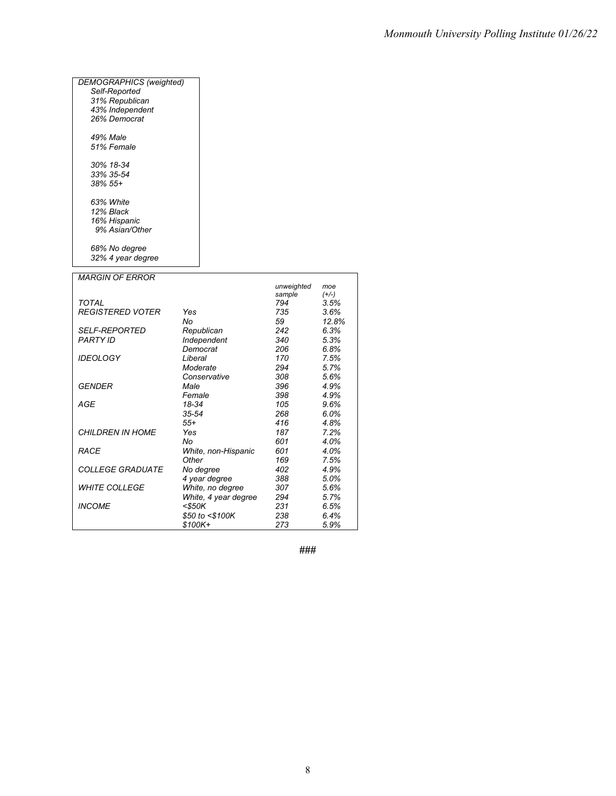| <b>DEMOGRAPHICS</b> (weighted) |           |                            |            |              |
|--------------------------------|-----------|----------------------------|------------|--------------|
| Self-Reported                  |           |                            |            |              |
| 31% Republican                 |           |                            |            |              |
| 43% Independent                |           |                            |            |              |
| 26% Democrat                   |           |                            |            |              |
|                                |           |                            |            |              |
| 49% Male                       |           |                            |            |              |
| 51% Female                     |           |                            |            |              |
|                                |           |                            |            |              |
| 30% 18-34                      |           |                            |            |              |
| 33% 35-54                      |           |                            |            |              |
| 38% 55+                        |           |                            |            |              |
|                                |           |                            |            |              |
| 63% White                      |           |                            |            |              |
| 12% Black                      |           |                            |            |              |
| 16% Hispanic                   |           |                            |            |              |
| 9% Asian/Other                 |           |                            |            |              |
|                                |           |                            |            |              |
| 68% No degree                  |           |                            |            |              |
| 32% 4 year degree              |           |                            |            |              |
| <b>MARGIN OF ERROR</b>         |           |                            |            |              |
|                                |           |                            | unweighted | moe          |
|                                |           |                            | sample     | $(+/-)$      |
| TOTAL                          |           |                            | 794        | 3.5%         |
| <b>REGISTERED VOTER</b>        | Yes       |                            | 735        | 3.6%         |
|                                | No        |                            | 59         | 12.8%        |
| <i>SELF-REPORTED</i>           |           | Republican                 | 242        | 6.3%         |
| PARTY ID                       |           | Independent                | 340        | 5.3%         |
|                                |           | Democrat                   | 206        | 6.8%         |
| <b>IDEOLOGY</b>                | Liberal   |                            | 170        | 7.5%         |
|                                |           | Moderate                   | 294        | 5.7%         |
|                                |           | Conservative               | 308        | 5.6%         |
| GENDER                         | Male      |                            | 396        | 4.9%         |
|                                | Female    |                            | 398        | 4.9%         |
| AGE                            | 18-34     |                            | 105        | 9.6%         |
|                                | $35 - 54$ |                            | 268        | 6.0%         |
|                                | $55+$     |                            | 416        | 4.8%         |
| <b>CHILDREN IN HOME</b>        | Yes       |                            | 187        | 7.2%         |
|                                | No        |                            | 601        | 4.0%         |
| RACE                           |           | White, non-Hispanic        | 601<br>169 | 4.0%         |
| <b>COLLEGE GRADUATE</b>        | Other     |                            | 402        | 7.5%<br>4.9% |
|                                |           | No degree<br>4 year degree | 388        | 5.0%         |
| <b>WHITE COLLEGE</b>           |           | White, no degree           | 307        | 5.6%         |
|                                |           | White, 4 year degree       | 294        | 5.7%         |
| <b>INCOME</b>                  | $<$ \$50K |                            | 231        | 6.5%         |
|                                |           | \$50 to <\$100K            | 238        | 6.4%         |
|                                | \$100K+   |                            | 273        | 5.9%         |
|                                |           |                            |            |              |

**###**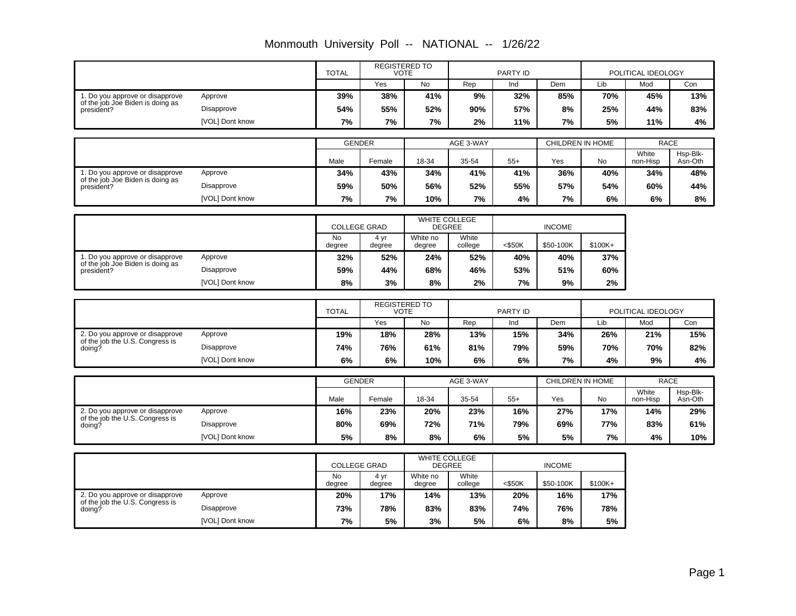|                                                                     |                 | <b>TOTAL</b>        |                | <b>REGISTERED TO</b><br><b>VOTE</b> |                      | PARTY ID  |               |                         | POLITICAL IDEOLOGY |                     |
|---------------------------------------------------------------------|-----------------|---------------------|----------------|-------------------------------------|----------------------|-----------|---------------|-------------------------|--------------------|---------------------|
|                                                                     |                 |                     | Yes            | No                                  | Rep                  | Ind       | Dem           | Lib                     | Mod                | Con                 |
| 1. Do you approve or disapprove<br>of the job Joe Biden is doing as | Approve         | 39%                 | 38%            | 41%                                 | 9%                   | 32%       | 85%           | 70%                     | 45%                | 13%                 |
| president?                                                          | Disapprove      | 54%                 | 55%            | 52%                                 | 90%                  | 57%       | 8%            | 25%                     | 44%                | 83%                 |
|                                                                     | [VOL] Dont know | 7%                  | 7%             | 7%                                  | 2%                   | 11%       | 7%            | 5%                      | 11%                | 4%                  |
|                                                                     |                 | <b>GENDER</b>       |                |                                     | AGE 3-WAY            |           |               | CHILDREN IN HOME        | <b>RACE</b>        |                     |
|                                                                     |                 | Male                | Female         | 18-34                               | 35-54                | $55+$     | Yes           | No                      | White<br>non-Hisp  | Hsp-Blk-<br>Asn-Oth |
| 1. Do you approve or disapprove                                     | Approve         | 34%                 | 43%            | 34%                                 | 41%                  | 41%       | 36%           | 40%                     | 34%                | 48%                 |
| of the job Joe Biden is doing as<br>president?                      | Disapprove      | 59%                 | 50%            | 56%                                 | 52%                  | 55%       | 57%           | 54%                     | 60%                | 44%                 |
|                                                                     | [VOL] Dont know | 7%                  | 7%             | 10%                                 | 7%                   | 4%        | 7%            | 6%                      | 6%                 | 8%                  |
|                                                                     |                 | <b>COLLEGE GRAD</b> |                | DEGREE                              | <b>WHITE COLLEGE</b> |           | <b>INCOME</b> |                         |                    |                     |
|                                                                     |                 | <b>No</b><br>degree | 4 yr<br>degree | White no<br>degree                  | White<br>college     | $<$ \$50K | \$50-100K     | \$100K+                 |                    |                     |
| 1. Do you approve or disapprove                                     | Approve         | 32%                 | 52%            | 24%                                 | 52%                  | 40%       | 40%           | 37%                     |                    |                     |
| of the job Joe Biden is doing as<br>president?                      | Disapprove      | 59%                 | 44%            | 68%                                 | 46%                  | 53%       | 51%           | 60%                     |                    |                     |
|                                                                     | [VOL] Dont know | 8%                  | 3%             | 8%                                  | 2%                   | 7%        | 9%            | 2%                      |                    |                     |
|                                                                     |                 |                     |                | <b>REGISTERED TO</b>                |                      |           |               |                         |                    |                     |
|                                                                     |                 | <b>TOTAL</b>        |                | <b>VOTE</b>                         |                      | PARTY ID  |               |                         | POLITICAL IDEOLOGY |                     |
|                                                                     |                 |                     | Yes            | No                                  | Rep                  | Ind       | Dem           | Lib                     | Mod                | Con                 |
| 2. Do you approve or disapprove<br>of the job the U.S. Congress is  | Approve         | 19%                 | 18%            | 28%                                 | 13%                  | 15%       | 34%           | 26%                     | 21%                | 15%                 |
| doing?                                                              | Disapprove      | 74%                 | 76%            | 61%                                 | 81%                  | 79%       | 59%           | 70%                     | 70%                | 82%                 |
|                                                                     | [VOL] Dont know | 6%                  | 6%             | 10%                                 | 6%                   | 6%        | 7%            | 4%                      | 9%                 | 4%                  |
|                                                                     |                 | <b>GENDER</b>       |                |                                     | AGE 3-WAY            |           |               | <b>CHILDREN IN HOME</b> | <b>RACE</b>        |                     |
|                                                                     |                 | Male                | Female         | 18-34                               | 35-54                | $55+$     | Yes           | No                      | White<br>non-Hisp  | Hsp-Blk-<br>Asn-Oth |
| 2. Do you approve or disapprove                                     | Approve         | 16%                 | 23%            | 20%                                 | 23%                  | 16%       | 27%           | 17%                     | 14%                | 29%                 |
| of the job the U.S. Congress is<br>doing?                           | Disapprove      | 80%                 | 69%            | 72%                                 | 71%                  | 79%       | 69%           | 77%                     | 83%                | 61%                 |
|                                                                     | [VOL] Dont know | 5%                  | 8%             | 8%                                  | 6%                   | 5%        | 5%            | 7%                      | 4%                 | 10%                 |
|                                                                     |                 |                     |                |                                     | <b>WHITE COLLEGE</b> |           |               |                         |                    |                     |
|                                                                     |                 | <b>COLLEGE GRAD</b> |                | <b>DEGREE</b>                       |                      |           | <b>INCOME</b> |                         |                    |                     |
|                                                                     |                 | <b>No</b><br>degree | 4 yr<br>degree | White no<br>degree                  | White<br>college     | $<$ \$50K | \$50-100K     | $$100K+$                |                    |                     |
| 2. Do you approve or disapprove<br>of the job the U.S. Congress is  | Approve         | 20%                 | 17%            | 14%                                 | 13%                  | 20%       | 16%           | 17%                     |                    |                     |
| doing?                                                              | Disapprove      | 73%                 | 78%            | 83%                                 | 83%                  | 74%       | 76%           | 78%                     |                    |                     |
|                                                                     | [VOL] Dont know | 7%                  | 5%             | 3%                                  | 5%                   | 6%        | 8%            | 5%                      |                    |                     |
|                                                                     |                 |                     |                |                                     |                      |           |               |                         |                    |                     |

Monmouth University Poll -- NATIONAL -- 1/26/22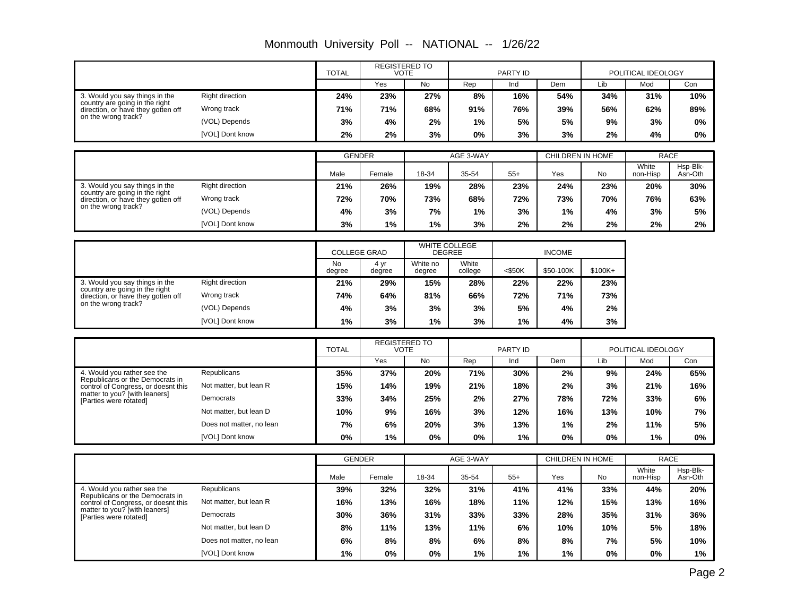|                                                                      |                          | <b>TOTAL</b>        |                     | <b>REGISTERED TO</b><br><b>VOTE</b> |                                | <b>PARTY ID</b> |                         | POLITICAL IDEOLOGY |                   |                         |
|----------------------------------------------------------------------|--------------------------|---------------------|---------------------|-------------------------------------|--------------------------------|-----------------|-------------------------|--------------------|-------------------|-------------------------|
|                                                                      |                          |                     | Yes                 | No                                  | Rep                            | Ind             | Dem                     | Lib                | Mod               | Con                     |
| 3. Would you say things in the                                       | <b>Right direction</b>   | 24%                 | 23%                 | 27%                                 | 8%                             | 16%             | 54%                     | 34%                | 31%               | 10%                     |
| country are going in the right<br>direction, or have they gotten off | Wrong track              | 71%                 | 71%                 | 68%                                 | 91%                            | 76%             | 39%                     | 56%                | 62%               | 89%                     |
| on the wrong track?                                                  | (VOL) Depends            | 3%                  | 4%                  | 2%                                  | 1%                             | 5%              | 5%                      | 9%                 | 3%                | 0%                      |
|                                                                      | [VOL] Dont know          | 2%                  | 2%                  | 3%                                  | 0%                             | 3%              | 3%                      | 2%                 | 4%                | 0%                      |
|                                                                      |                          |                     |                     |                                     |                                |                 |                         |                    |                   |                         |
|                                                                      |                          |                     | <b>GENDER</b>       |                                     | AGE 3-WAY                      |                 | <b>CHILDREN IN HOME</b> |                    | <b>RACE</b>       |                         |
|                                                                      |                          | Male                | Female              | 18-34                               | 35-54                          | $55+$           | Yes                     | No                 | White<br>non-Hisp | Hsp-Blk-<br>Asn-Oth     |
| 3. Would you say things in the<br>country are going in the right     | <b>Right direction</b>   | 21%                 | 26%                 | 19%                                 | 28%                            | 23%             | 24%                     | 23%                | 20%               | 30%                     |
| direction, or have they gotten off                                   | Wrong track              | 72%                 | 70%                 | 73%                                 | 68%                            | 72%             | 73%                     | 70%                | 76%               | 63%                     |
| on the wrong track?                                                  | (VOL) Depends            | 4%                  | 3%                  | 7%                                  | 1%                             | 3%              | 1%                      | 4%                 | 3%                | 5%                      |
|                                                                      | [VOL] Dont know          | 3%                  | 1%                  | 1%                                  | 3%                             | 2%              | 2%                      | 2%                 | 2%                | 2%                      |
|                                                                      |                          |                     |                     |                                     |                                |                 |                         |                    |                   |                         |
|                                                                      |                          |                     | <b>COLLEGE GRAD</b> |                                     | WHITE COLLEGE<br><b>DEGREE</b> |                 | <b>INCOME</b>           |                    |                   |                         |
|                                                                      |                          | <b>No</b><br>degree | 4 yr<br>degree      | White no<br>degree                  | White<br>college               | $<$ \$50K       | \$50-100K               | $$100K+$           |                   |                         |
| 3. Would you say things in the                                       | <b>Right direction</b>   | 21%                 | 29%                 | 15%                                 | 28%                            | 22%             | 22%                     | 23%                |                   |                         |
| country are going in the right<br>direction, or have they gotten off | Wrong track              | 74%                 | 64%                 | 81%                                 | 66%                            | 72%             | 71%                     | 73%                |                   |                         |
| on the wrong track?                                                  | (VOL) Depends            | 4%                  | 3%                  | 3%                                  | 3%                             | 5%              | 4%                      | 2%                 |                   |                         |
|                                                                      | [VOL] Dont know          | 1%                  | 3%                  | 1%                                  | 3%                             | 1%              | 4%                      | 3%                 |                   |                         |
|                                                                      |                          |                     |                     | <b>REGISTERED TO</b>                |                                |                 |                         |                    |                   |                         |
|                                                                      |                          | <b>TOTAL</b>        |                     | <b>VOTE</b>                         |                                | <b>PARTY ID</b> |                         | POLITICAL IDEOLOGY |                   |                         |
|                                                                      |                          |                     | Yes                 | <b>No</b>                           | Rep                            | Ind             | Dem                     | Lib                | Mod               | Con                     |
| 4. Would you rather see the<br>Republicans or the Democrats in       | Republicans              | 35%                 | 37%                 | 20%                                 | 71%                            | 30%             | 2%                      | 9%                 | 24%               | 65%                     |
| control of Congress, or doesnt this<br>matter to you? [with leaners] | Not matter, but lean R   | 15%                 | 14%                 | 19%                                 | 21%                            | 18%             | 2%                      | 3%                 | 21%               | 16%                     |
| [Parties were rotated]                                               | Democrats                | 33%                 | 34%                 | 25%                                 | 2%                             | 27%             | 78%                     | 72%                | 33%               | 6%                      |
|                                                                      | Not matter, but lean D   | 10%                 | 9%                  | 16%                                 | 3%                             | 12%             | 16%                     | 13%                | 10%               | 7%                      |
|                                                                      | Does not matter, no lean | 7%                  | 6%                  | 20%                                 | 3%                             | 13%             | 1%                      | 2%                 | 11%               | 5%                      |
|                                                                      | [VOL] Dont know          | 0%                  | 1%                  | 0%                                  | $0\%$                          | 1%              | 0%                      | 0%                 | 1%                | 0%                      |
|                                                                      |                          |                     |                     |                                     |                                |                 |                         |                    |                   |                         |
|                                                                      |                          |                     | <b>GENDER</b>       |                                     | AGE 3-WAY                      |                 | <b>CHILDREN IN HOME</b> |                    | White             | <b>RACE</b><br>Hsp-Blk- |
|                                                                      |                          | Male                | Female              | 18-34                               | 35-54                          | $55+$           | Yes                     | <b>No</b>          | non-Hisp          | Asn-Oth                 |
| 4. Would you rather see the                                          | <b>Republicans</b>       | 39%                 | 32%                 | 32%                                 | 31%                            | 41%             | 41%                     | 33%                | 44%               | 20%                     |

**1% 0% 0% 1% 1% 1% 0% 0% 1% 6% 8% 8% 6% 8% 8% 7% 5% 10% 8% 11% 13% 11% 6% 10% 10% 5% 18% 30% 36% 31% 33% 33% 28% 35% 31% 36% 16% 13% 16% 18% 11% 12% 15% 13% 16% 39% 32% 32% 31% 41% 41% 33% 44% 20%**

Not matter, but lean R

Not matter, but lean D Does not matter, no lean [VOL] Dont know

Democrats

4. Would you rather see the Republicans or the Democrats in control of Congress, or doesnt this matter to you? [with leaners]

[Parties were rotated]

Monmouth University Poll -- NATIONAL -- 1/26/22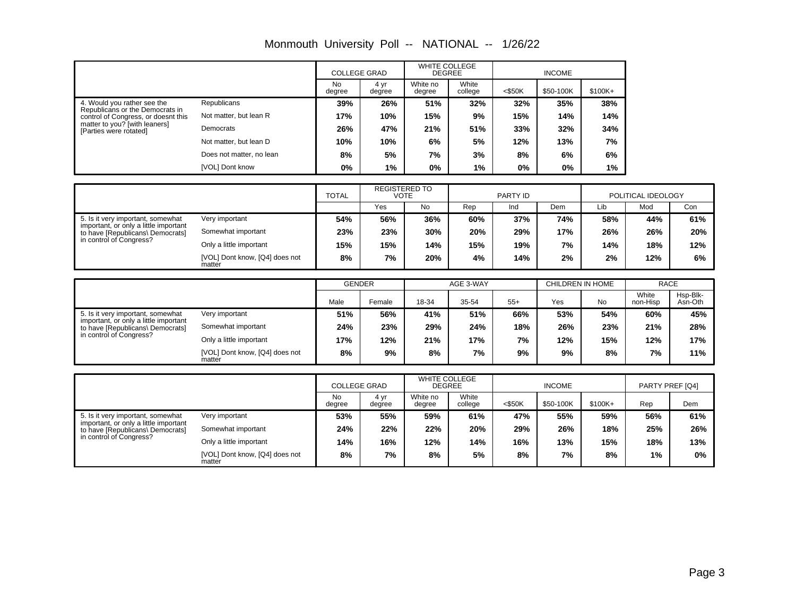|                                                                           |                                          | <b>COLLEGE GRAD</b>  |                | <b>WHITE COLLEGE</b><br><b>DEGREE</b> |                  | <b>INCOME</b> |                  |         |                      |          |
|---------------------------------------------------------------------------|------------------------------------------|----------------------|----------------|---------------------------------------|------------------|---------------|------------------|---------|----------------------|----------|
|                                                                           |                                          | <b>No</b><br>degree  | 4 yr<br>degree | White no<br>degree                    | White<br>college | $<$ \$50K     | \$50-100K        | \$100K+ |                      |          |
| 4. Would you rather see the<br>Republicans or the Democrats in            | Republicans                              | 39%                  | 26%            | 51%                                   | 32%              | 32%           | 35%              | 38%     |                      |          |
| control of Congress, or doesnt this                                       | Not matter, but lean R                   | 17%                  | 10%            | 15%                                   | 9%               | 15%           | 14%              | 14%     |                      |          |
| matter to you? [with leaners]<br>[Parties were rotated]                   | Democrats                                | 26%                  | 47%            | 21%                                   | 51%              | 33%           | 32%              | 34%     |                      |          |
|                                                                           | Not matter, but lean D                   | 10%                  | 10%            | 6%                                    | 5%               | 12%           | 13%              | 7%      |                      |          |
|                                                                           | Does not matter, no lean                 | 8%                   | 5%             | 7%                                    | 3%               | 8%            | 6%               | 6%      |                      |          |
|                                                                           | [VOL] Dont know                          | 0%                   | 1%             | 0%                                    | 1%               | 0%            | 0%               | 1%      |                      |          |
|                                                                           |                                          |                      |                |                                       |                  |               |                  |         |                      |          |
|                                                                           |                                          | <b>REGISTERED TO</b> |                | <b>VOTE</b>                           |                  |               |                  |         |                      |          |
|                                                                           |                                          | <b>TOTAL</b>         |                |                                       |                  | PARTY ID      |                  |         | POLITICAL IDEOLOGY   |          |
|                                                                           |                                          |                      | Yes            | No                                    | Rep              | Ind           | Dem              | Lib     | Mod                  | Con      |
| 5. Is it very important, somewhat                                         | Very important                           | 54%                  | 56%            | 36%                                   | 60%              | 37%           | 74%              | 58%     | 44%                  | 61%      |
| important, or only a little important<br>to have [Republicans\ Democrats] | Somewhat important                       | 23%                  | 23%            | 30%                                   | 20%              | 29%           | 17%              | 26%     | 26%                  | 20%      |
| in control of Congress?                                                   | Only a little important                  | 15%                  | 15%            | 14%                                   | 15%              | 19%           | 7%               | 14%     | 18%                  | 12%      |
|                                                                           | [VOL] Dont know, [Q4] does not<br>matter | 8%                   | 7%             | 20%                                   | 4%               | 14%           | 2%               | 2%      | 12%                  | 6%       |
|                                                                           |                                          |                      |                |                                       |                  |               |                  |         |                      |          |
|                                                                           |                                          | <b>GENDER</b>        |                |                                       | AGE 3-WAY        |               | CHILDREN IN HOME |         | <b>RACE</b><br>White | Hsp-Blk- |

# Monmouth University Poll -- NATIONAL -- 1/26/22

|                                                                           |                                          |      | <b>GENDER</b> |       | AGE 3-WAY |       |     | CHILDREN IN HOME |                   | <b>RACE</b>         |
|---------------------------------------------------------------------------|------------------------------------------|------|---------------|-------|-----------|-------|-----|------------------|-------------------|---------------------|
|                                                                           |                                          | Male | Female        | 18-34 | 35-54     | $55+$ | Yes | <b>No</b>        | White<br>non-Hisp | Hsp-Blk-<br>Asn-Oth |
| 5. Is it very important, somewhat                                         | Very important                           | 51%  | 56%           | 41%   | 51%       | 66%   | 53% | 54%              | 60%               | 45%                 |
| important, or only a little important<br>to have [Republicans\ Democrats] | Somewhat important                       | 24%  | 23%           | 29%   | 24%       | 18%   | 26% | 23%              | 21%               | 28%                 |
| in control of Congress?                                                   | Only a little important                  | 17%  | 12%           | 21%   | 17%       | 7%    | 12% | 15%              | 12%               | 17%                 |
|                                                                           | [VOL] Dont know, [Q4] does not<br>matter | 8%   | 9%            | 8%    | 7%        | 9%    | 9%  | 8%               | 7%                | 11%                 |

|                                                                           |                                          | <b>COLLEGE GRAD</b> |                | <b>WHITE COLLEGE</b><br><b>DEGREE</b> |                  | <b>INCOME</b> |           |          | PARTY PREF [Q4] |       |
|---------------------------------------------------------------------------|------------------------------------------|---------------------|----------------|---------------------------------------|------------------|---------------|-----------|----------|-----------------|-------|
|                                                                           |                                          | <b>No</b><br>degree | 4 vr<br>degree | White no<br>degree                    | White<br>college | $<$ \$50K     | \$50-100K | $$100K+$ | Rep             | Dem   |
| 5. Is it very important, somewhat                                         | Very important                           | 53%                 | 55%            | 59%                                   | 61%              | 47%           | 55%       | 59%      | 56%             | 61%   |
| important, or only a little important<br>to have [Republicans] Democrats] | Somewhat important                       | 24%                 | 22%            | 22%                                   | 20%              | 29%           | 26%       | 18%      | 25%             | 26%   |
| in control of Congress?                                                   | Only a little important                  | 14%                 | 16%            | 12%                                   | 14%              | 16%           | 13%       | 15%      | 18%             | 13%   |
|                                                                           | [VOL] Dont know, [Q4] does not<br>matter | 8%                  | 7%             | 8%                                    | 5%               | 8%            | 7%        | 8%       | 1%              | $0\%$ |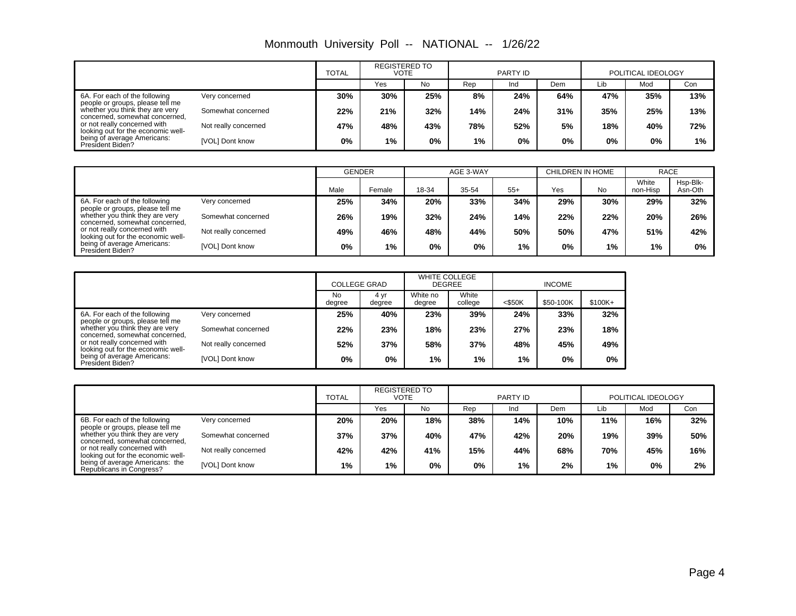|  |  |  | Monmouth University Poll -- NATIONAL -- | 1/26/22 |
|--|--|--|-----------------------------------------|---------|
|--|--|--|-----------------------------------------|---------|

|                                                                                                                                                                                                                                                                 |                      | <b>TOTAL</b> | <b>REGISTERED TO</b><br><b>VOTE</b> |       |     | PARTY ID |       |     | POLITICAL IDEOLOGY |     |
|-----------------------------------------------------------------------------------------------------------------------------------------------------------------------------------------------------------------------------------------------------------------|----------------------|--------------|-------------------------------------|-------|-----|----------|-------|-----|--------------------|-----|
|                                                                                                                                                                                                                                                                 |                      |              | Yes                                 | No    | Rep | Ind      | Dem   | Lib | Mod                | Con |
| 6A. For each of the following<br>people or groups, please tell me<br>whether you think they are very<br>concerned, somewhat concerned,<br>or not really concerned with<br>looking out for the economic well-<br>being of average Americans:<br>President Biden? | Very concerned       | 30%          | 30%                                 | 25%   | 8%  | 24%      | 64%   | 47% | 35%                | 13% |
|                                                                                                                                                                                                                                                                 | Somewhat concerned   | 22%          | 21%                                 | 32%   | 14% | 24%      | 31%   | 35% | 25%                | 13% |
|                                                                                                                                                                                                                                                                 | Not really concerned | 47%          | 48%                                 | 43%   | 78% | 52%      | 5%    | 18% | 40%                | 72% |
|                                                                                                                                                                                                                                                                 | [VOL] Dont know      | 0%           | $1\%$                               | $0\%$ | 1%  | $0\%$    | $0\%$ | 0%  | $0\%$              | 1%  |

|                                                                                                                                                                             |                      | <b>GENDER</b> |        |       | AGE 3-WAY |       | CHILDREN IN HOME |           | <b>RACE</b>       |                     |
|-----------------------------------------------------------------------------------------------------------------------------------------------------------------------------|----------------------|---------------|--------|-------|-----------|-------|------------------|-----------|-------------------|---------------------|
|                                                                                                                                                                             |                      | Male          | Female | 18-34 | 35-54     | $55+$ | Yes              | <b>No</b> | White<br>non-Hisp | Hsp-Blk-<br>Asn-Oth |
| 6A. For each of the following                                                                                                                                               | Very concerned       | 25%           | 34%    | 20%   | 33%       | 34%   | 29%              | 30%       | 29%               | 32%                 |
| people or groups, please tell me<br>whether you think they are very<br>concerned, somewhat concerned,<br>or not really concerned with<br>looking out for the economic well- | Somewhat concerned   | 26%           | 19%    | 32%   | 24%       | 14%   | 22%              | 22%       | 20%               | 26%                 |
|                                                                                                                                                                             | Not really concerned | 49%           | 46%    | 48%   | 44%       | 50%   | 50%              | 47%       | 51%               | 42%                 |
| being of average Americans:<br>President Biden?                                                                                                                             | [VOL] Dont know      | $0\%$         | 1%     | 0%    | 0%        | 1%    | 0%               | 1%        | 1%                | $0\%$               |

|                                                                    |                      | <b>COLLEGE GRAD</b> |                | <b>WHITE COLLEGE</b><br><b>DEGREE</b> |                  | <b>INCOME</b> |           |          |
|--------------------------------------------------------------------|----------------------|---------------------|----------------|---------------------------------------|------------------|---------------|-----------|----------|
|                                                                    |                      | <b>No</b><br>degree | 4 yr<br>degree | White no<br>degree                    | White<br>college | $<$ \$50K     | \$50-100K | $$100K+$ |
| 6A. For each of the following<br>people or groups, please tell me  | Very concerned       | 25%                 | 40%            | 23%                                   | 39%              | 24%           | 33%       | 32%      |
| whether you think they are very<br>concerned, somewhat concerned,  | Somewhat concerned   | 22%                 | 23%            | 18%                                   | 23%              | 27%           | 23%       | 18%      |
| or not really concerned with<br>looking out for the economic well- | Not really concerned | 52%                 | 37%            | 58%                                   | 37%              | 48%           | 45%       | 49%      |
| being of average Americans:<br>President Biden?                    | [VOL] Dont know      | 0%                  | 0%             | $1\%$                                 | 1%               | 1%            | $0\%$     | $0\%$    |

|                                                                    |                      | <b>REGISTERED TO</b><br><b>TOTAL</b><br>VOTE |     |     |     | PARTY ID |     | POLITICAL IDEOLOGY |     |     |
|--------------------------------------------------------------------|----------------------|----------------------------------------------|-----|-----|-----|----------|-----|--------------------|-----|-----|
|                                                                    |                      |                                              | Yes | No  | Rep | Ind      | Dem | Lib                | Mod | Con |
| 6B. For each of the following<br>people or groups, please tell me  | Very concerned       | 20%                                          | 20% | 18% | 38% | 14%      | 10% | 11%                | 16% | 32% |
| whether you think they are very<br>concerned, somewhat concerned,  | Somewhat concerned   | 37%                                          | 37% | 40% | 47% | 42%      | 20% | 19%                | 39% | 50% |
| or not really concerned with<br>looking out for the economic well- | Not really concerned | 42%                                          | 42% | 41% | 15% | 44%      | 68% | 70%                | 45% | 16% |
| being of average Americans: the<br>Republicans in Congress?        | [VOL] Dont know      | 1%                                           | 1%  | 0%  | 0%  | $1\%$    | 2%  | 1%                 | 0%  | 2%  |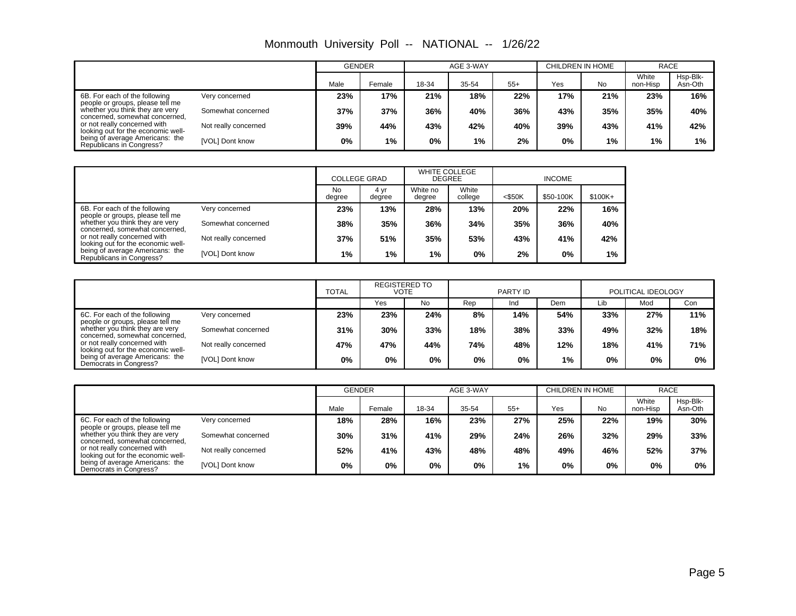|                                                                                                       |                      | <b>GENDER</b> |        | AGE 3-WAY |       |       | CHILDREN IN HOME |     | <b>RACE</b>       |                     |
|-------------------------------------------------------------------------------------------------------|----------------------|---------------|--------|-----------|-------|-------|------------------|-----|-------------------|---------------------|
|                                                                                                       |                      | Male          | Female | 18-34     | 35-54 | $55+$ | Yes              | No  | White<br>non-Hisp | Hsp-Blk-<br>Asn-Oth |
| 6B. For each of the following                                                                         | Very concerned       | 23%           | 17%    | 21%       | 18%   | 22%   | 17%              | 21% | 23%               | 16%                 |
| people or groups, please tell me<br>whether you think they are very<br>concerned, somewhat concerned, | Somewhat concerned   | 37%           | 37%    | 36%       | 40%   | 36%   | 43%              | 35% | 35%               | 40%                 |
| or not really concerned with<br>looking out for the economic well-                                    | Not really concerned | 39%           | 44%    | 43%       | 42%   | 40%   | 39%              | 43% | 41%               | 42%                 |
| being of average Americans: the<br>Republicans in Congress?                                           | [VOL] Dont know      | 0%            | 1%     | 0%        | $1\%$ | 2%    | $0\%$            | 1%  | $1\%$             | 1%                  |

Monmouth University Poll -- NATIONAL -- 1/26/22

|                                                                    |                      | <b>COLLEGE GRAD</b> |                | <b>WHITE COLLEGE</b><br><b>DEGREE</b> |                  | <b>INCOME</b> |           |          |  |
|--------------------------------------------------------------------|----------------------|---------------------|----------------|---------------------------------------|------------------|---------------|-----------|----------|--|
|                                                                    |                      | No<br>degree        | 4 yr<br>degree | White no<br>degree                    | White<br>college | $<$ \$50K     | \$50-100K | $$100K+$ |  |
| 6B. For each of the following<br>people or groups, please tell me  | Very concerned       | 23%                 | 13%            | 28%                                   | 13%              | 20%           | 22%       | 16%      |  |
| whether you think they are very<br>concerned, somewhat concerned,  | Somewhat concerned   | 38%                 | 35%            | 36%                                   | 34%              | 35%           | 36%       | 40%      |  |
| or not really concerned with<br>looking out for the economic well- | Not really concerned | 37%                 | 51%            | 35%                                   | 53%              | 43%           | 41%       | 42%      |  |
| being of average Americans: the<br>Republicans in Congress?        | [VOL] Dont know      | $1\%$               | 1%             | 1%                                    | 0%               | 2%            | $0\%$     | 1%       |  |

|                                                                                                                                                                                                                                          |                      | <b>REGISTERED TO</b><br><b>TOTAL</b><br>VOTE |     |       | PARTY ID |     | POLITICAL IDEOLOGY |     |       |       |
|------------------------------------------------------------------------------------------------------------------------------------------------------------------------------------------------------------------------------------------|----------------------|----------------------------------------------|-----|-------|----------|-----|--------------------|-----|-------|-------|
|                                                                                                                                                                                                                                          |                      |                                              | Yes | No    | Rep      | Ind | Dem                | Lib | Mod   | Con   |
| 6C. For each of the following                                                                                                                                                                                                            | Very concerned       | 23%                                          | 23% | 24%   | 8%       | 14% | 54%                | 33% | 27%   | 11%   |
| people or groups, please tell me<br>whether you think they are very<br>concerned, somewhat concerned,<br>or not really concerned with<br>looking out for the economic well-<br>being of average Americans: the<br>Democrats in Congress? | Somewhat concerned   | 31%                                          | 30% | 33%   | 18%      | 38% | 33%                | 49% | 32%   | 18%   |
|                                                                                                                                                                                                                                          | Not really concerned | 47%                                          | 47% | 44%   | 74%      | 48% | 12%                | 18% | 41%   | 71%   |
|                                                                                                                                                                                                                                          | [VOL] Dont know      | 0%                                           | 0%  | $0\%$ | 0%       | 0%  | 1%                 | 0%  | $0\%$ | $0\%$ |

|                                                                    |                      |      | <b>GENDER</b> |       | AGE 3-WAY |       | CHILDREN IN HOME |     | <b>RACE</b>       |                     |
|--------------------------------------------------------------------|----------------------|------|---------------|-------|-----------|-------|------------------|-----|-------------------|---------------------|
|                                                                    |                      | Male | Female        | 18-34 | 35-54     | $55+$ | Yes              | No  | White<br>non-Hisp | Hsp-Blk-<br>Asn-Oth |
| 6C. For each of the following<br>people or groups, please tell me  | Very concerned       | 18%  | 28%           | 16%   | 23%       | 27%   | 25%              | 22% | 19%               | 30%                 |
| whether you think they are very<br>concerned, somewhat concerned,  | Somewhat concerned   | 30%  | 31%           | 41%   | 29%       | 24%   | 26%              | 32% | 29%               | 33%                 |
| or not really concerned with<br>looking out for the economic well- | Not really concerned | 52%  | 41%           | 43%   | 48%       | 48%   | 49%              | 46% | 52%               | 37%                 |
| being of average Americans: the<br>Democrats in Congress?          | [VOL] Dont know      | 0%   | 0%            | $0\%$ | $0\%$     | $1\%$ | $0\%$            | 0%  | $0\%$             | 0%                  |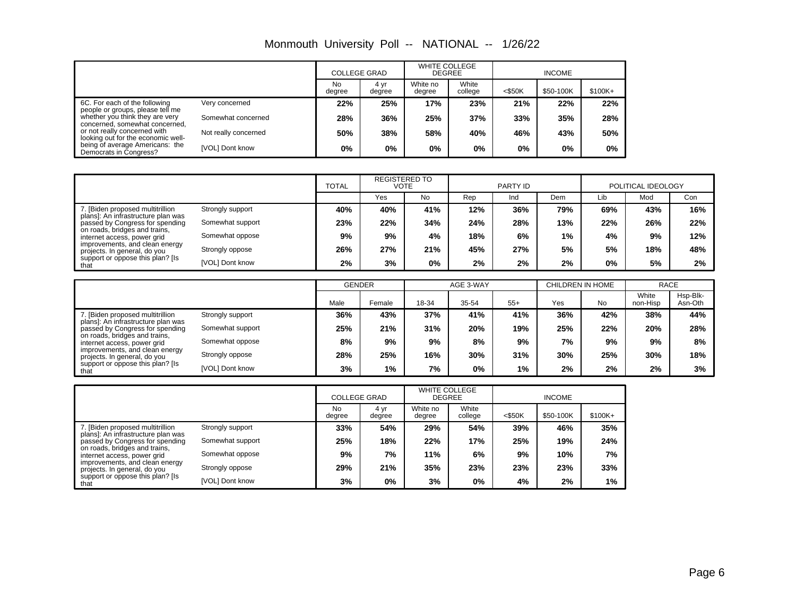|                                                                    |                      | <b>COLLEGE GRAD</b> |                | <b>WHITE COLLEGE</b><br><b>DEGREE</b> |                  | <b>INCOME</b> |           |          |  |
|--------------------------------------------------------------------|----------------------|---------------------|----------------|---------------------------------------|------------------|---------------|-----------|----------|--|
|                                                                    |                      | No<br>degree        | 4 yr<br>degree | White no<br>degree                    | White<br>college | $<$ \$50K     | \$50-100K | $$100K+$ |  |
| 6C. For each of the following<br>people or groups, please tell me  | Very concerned       | 22%                 | 25%            | 17%                                   | 23%              | 21%           | 22%       | 22%      |  |
| whether you think they are very<br>concerned, somewhat concerned,  | Somewhat concerned   | 28%                 | 36%            | 25%                                   | 37%              | 33%           | 35%       | 28%      |  |
| or not really concerned with<br>looking out for the economic well- | Not really concerned | 50%                 | 38%            | 58%                                   | 40%              | 46%           | 43%       | 50%      |  |
| being of average Americans: the<br>Democrats in Congress?          | [VOL] Dont know      | $0\%$               | $0\%$          | 0%                                    | 0%               | 0%            | 0%        | $0\%$    |  |

Monmouth University Poll -- NATIONAL -- 1/26/22

|                                                                                                            |                  | <b>TOTAL</b> | <b>REGISTERED TO</b><br>VOTE |     | PARTY ID |     |     | POLITICAL IDEOLOGY |     |     |
|------------------------------------------------------------------------------------------------------------|------------------|--------------|------------------------------|-----|----------|-----|-----|--------------------|-----|-----|
|                                                                                                            |                  |              | Yes                          | No  | Rep      | Ind | Dem | Lib                | Mod | Con |
| 7. [Biden proposed multitrillion                                                                           | Strongly support | 40%          | 40%                          | 41% | 12%      | 36% | 79% | 69%                | 43% | 16% |
| plans]: An infrastructure plan was<br>passed by Congress for spending                                      | Somewhat support | 23%          | 22%                          | 34% | 24%      | 28% | 13% | 22%                | 26% | 22% |
| on roads, bridges and trains,<br>internet access, power grid                                               | Somewhat oppose  | 9%           | 9%                           | 4%  | 18%      | 6%  | 1%  | 4%                 | 9%  | 12% |
| improvements, and clean energy<br>projects. In general, do you<br>support or oppose this plan? [Is<br>that | Strongly oppose  | 26%          | 27%                          | 21% | 45%      | 27% | 5%  | 5%                 | 18% | 48% |
|                                                                                                            | [VOL] Dont know  | 2%           | 3%                           | 0%  | 2%       | 2%  | 2%  | 0%                 | 5%  | 2%  |

|                                                                       |                  | <b>GENDER</b> |        |       | AGE 3-WAY |       | CHILDREN IN HOME |           | <b>RACE</b>       |                     |
|-----------------------------------------------------------------------|------------------|---------------|--------|-------|-----------|-------|------------------|-----------|-------------------|---------------------|
|                                                                       |                  | Male          | Female | 18-34 | 35-54     | $55+$ | Yes              | <b>No</b> | White<br>non-Hisp | Hsp-Blk-<br>Asn-Oth |
| . [Biden proposed multitrillion<br>plans]: An infrastructure plan was | Strongly support | 36%           | 43%    | 37%   | 41%       | 41%   | 36%              | 42%       | 38%               | 44%                 |
| passed by Congress for spending                                       | Somewhat support | 25%           | 21%    | 31%   | 20%       | 19%   | 25%              | 22%       | 20%               | 28%                 |
| on roads, bridges and trains,<br>internet access, power grid          | Somewhat oppose  | 8%            | 9%     | 9%    | 8%        | 9%    | 7%               | 9%        | 9%                | 8%                  |
| improvements, and clean energy<br>projects. In general, do you        | Strongly oppose  | 28%           | 25%    | 16%   | 30%       | 31%   | 30%              | 25%       | 30%               | 18%                 |
| support or oppose this plan? [Is<br>that                              | [VOL] Dont know  | 3%            | $1\%$  | 7%    | 0%        | $1\%$ | 2%               | 2%        | $2\%$             | 3%                  |

|                                                                         |                        | <b>COLLEGE GRAD</b> |                | <b>WHITE COLLEGE</b><br><b>DEGREE</b> |                  |           |           |          |
|-------------------------------------------------------------------------|------------------------|---------------------|----------------|---------------------------------------|------------------|-----------|-----------|----------|
|                                                                         |                        | No<br>degree        | 4 yr<br>degree | White no<br>degree                    | White<br>college | $<$ \$50K | \$50-100K | $$100K+$ |
| 7. [Biden proposed multitrillion]<br>plans]: An infrastructure plan was | Strongly support       | 33%                 | 54%            | 29%                                   | 54%              | 39%       | 46%       | 35%      |
| passed by Congress for spending                                         | Somewhat support       | 25%                 | 18%            | 22%                                   | 17%              | 25%       | 19%       | 24%      |
| on roads, bridges and trains,<br>internet access, power grid            | Somewhat oppose        | 9%                  | 7%             | 11%                                   | 6%               | 9%        | 10%       | 7%       |
| improvements, and clean energy<br>projects. In general, do you          | Strongly oppose        | 29%                 | 21%            | 35%                                   | 23%              | 23%       | 23%       | 33%      |
| support or oppose this plan? [Is<br>that                                | <b>IVOLI Dont know</b> | 3%                  | $0\%$          | 3%                                    | 0%               | 4%        | 2%        | 1%       |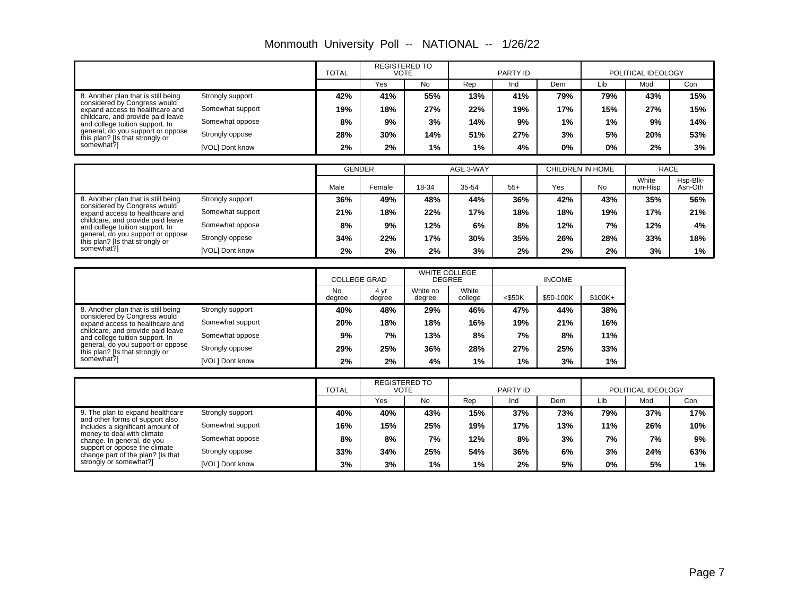|                                                                      |                  | <b>TOTAL</b>  | <b>REGISTERED TO</b><br>VOTE |                      |           | <b>PARTY ID</b> |                  |           | POLITICAL IDEOLOGY |                     |
|----------------------------------------------------------------------|------------------|---------------|------------------------------|----------------------|-----------|-----------------|------------------|-----------|--------------------|---------------------|
|                                                                      |                  |               | <b>Yes</b>                   | No                   | Rep       | Ind             | Dem              | Lib       | Mod                | Con                 |
| 8. Another plan that is still being                                  | Strongly support | 42%           | 41%                          | 55%                  | 13%       | 41%             | 79%              | 79%       | 43%                | 15%                 |
| considered by Congress would<br>expand access to healthcare and      | Somewhat support | 19%           | 18%                          | 27%                  | 22%       | 19%             | 17%              | 15%       | 27%                | 15%                 |
| childcare, and provide paid leave<br>and college tuition support. In | Somewhat oppose  | 8%            | 9%                           | 3%                   | 14%       | 9%              | 1%               | 1%        | 9%                 | 14%                 |
| general, do you support or oppose<br>this plan? [Is that strongly or | Strongly oppose  | 28%           | 30%                          | 14%                  | 51%       | 27%             | 3%               | 5%        | 20%                | 53%                 |
| somewhat?]                                                           | [VOL] Dont know  | 2%            | 2%                           | 1%                   | 1%        | 4%              | 0%               | $0\%$     | 2%                 | 3%                  |
|                                                                      |                  |               |                              |                      |           |                 |                  |           |                    |                     |
|                                                                      |                  | <b>GENDER</b> |                              |                      | AGE 3-WAY |                 | CHILDREN IN HOME |           |                    | <b>RACE</b>         |
|                                                                      |                  | Male          | Female                       | 18-34                | 35-54     | $55+$           | Yes              | <b>No</b> | White<br>non-Hisp  | Hsp-Blk-<br>Asn-Oth |
| 8. Another plan that is still being                                  | Strongly support | 36%           | 49%                          | 48%                  | 44%       | 36%             | 42%              | 43%       | 35%                | 56%                 |
| considered by Congress would<br>expand access to healthcare and      | Somewhat support | 21%           | 18%                          | 22%                  | 17%       | 18%             | 18%              | 19%       | 17%                | 21%                 |
| childcare, and provide paid leave<br>and college tuition support. In | Somewhat oppose  | 8%            | 9%                           | 12%                  | 6%        | 8%              | 12%              | 7%        | 12%                | 4%                  |
| general, do you support or oppose<br>this plan? [Is that strongly or | Strongly oppose  | 34%           | 22%                          | 17%                  | 30%       | 35%             | 26%              | 28%       | 33%                | 18%                 |
| somewhat?]                                                           | [VOL] Dont know  | 2%            | 2%                           | 2%                   | 3%        | 2%              | 2%               | 2%        | 3%                 | 1%                  |
|                                                                      |                  |               |                              |                      |           |                 |                  |           |                    |                     |
|                                                                      |                  |               |                              | <b>WHITE COLLEGE</b> |           |                 |                  |           |                    |                     |

|  |  |  | Monmouth University Poll -- NATIONAL -- | 1/26/22 |
|--|--|--|-----------------------------------------|---------|
|--|--|--|-----------------------------------------|---------|

|                                                                                                        |                  | <b>COLLEGE GRAD</b> |                | <b>WHITE COLLEGE</b><br><b>DEGREE</b> |                  | <b>INCOME</b> |           |         |
|--------------------------------------------------------------------------------------------------------|------------------|---------------------|----------------|---------------------------------------|------------------|---------------|-----------|---------|
|                                                                                                        |                  | <b>No</b><br>degree | 4 yr<br>degree | White no<br>degree                    | White<br>college | $<$ \$50K     | \$50-100K | \$100K+ |
| 8. Another plan that is still being<br>considered by Congress would<br>expand access to healthcare and | Strongly support | 40%                 | 48%            | 29%                                   | 46%              | 47%           | 44%       | 38%     |
|                                                                                                        | Somewhat support | 20%                 | 18%            | 18%                                   | 16%              | 19%           | 21%       | 16%     |
| childcare, and provide paid leave<br>and college tuition support. In                                   | Somewhat oppose  | 9%                  | 7%             | 13%                                   | 8%               | 7%            | 8%        | 11%     |
| general, do you support or oppose<br>this plan? [Is that strongly or                                   | Strongly oppose  | 29%                 | 25%            | 36%                                   | 28%              | 27%           | 25%       | 33%     |
| somewhat?1                                                                                             | [VOL] Dont know  | 2%                  | 2%             | 4%                                    | 1%               | $1\%$         | 3%        | $1\%$   |

 $\mathsf{\Gamma}$ 

|                                                                                                                                                                                                       |                  | <b>REGISTERED TO</b><br><b>TOTAL</b><br>VOTE |     | PARTY ID |       |     | POLITICAL IDEOLOGY |     |     |       |
|-------------------------------------------------------------------------------------------------------------------------------------------------------------------------------------------------------|------------------|----------------------------------------------|-----|----------|-------|-----|--------------------|-----|-----|-------|
|                                                                                                                                                                                                       |                  |                                              | Yes | No.      | Rep   | Ind | Dem                | Lib | Mod | Con   |
| 9. The plan to expand healthcare                                                                                                                                                                      | Strongly support | 40%                                          | 40% | 43%      | 15%   | 37% | 73%                | 79% | 37% | 17%   |
| and other forms of support also<br>includes a significant amount of<br>money to deal with climate<br>change. In general, do you<br>support or oppose the climate<br>change part of the plan? [Is that | Somewhat support | 16%                                          | 15% | 25%      | 19%   | 17% | 13%                | 11% | 26% | 10%   |
|                                                                                                                                                                                                       | Somewhat oppose  | 8%                                           | 8%  | 7%       | 12%   | 8%  | 3%                 | 7%  | 7%  | 9%    |
|                                                                                                                                                                                                       | Strongly oppose  | 33%                                          | 34% | 25%      | 54%   | 36% | 6%                 | 3%  | 24% | 63%   |
| strongly or somewhat?]                                                                                                                                                                                | [VOL] Dont know  | 3%                                           | 3%  | 1%       | $1\%$ | 2%  | 5%                 | 0%  | 5%  | $1\%$ |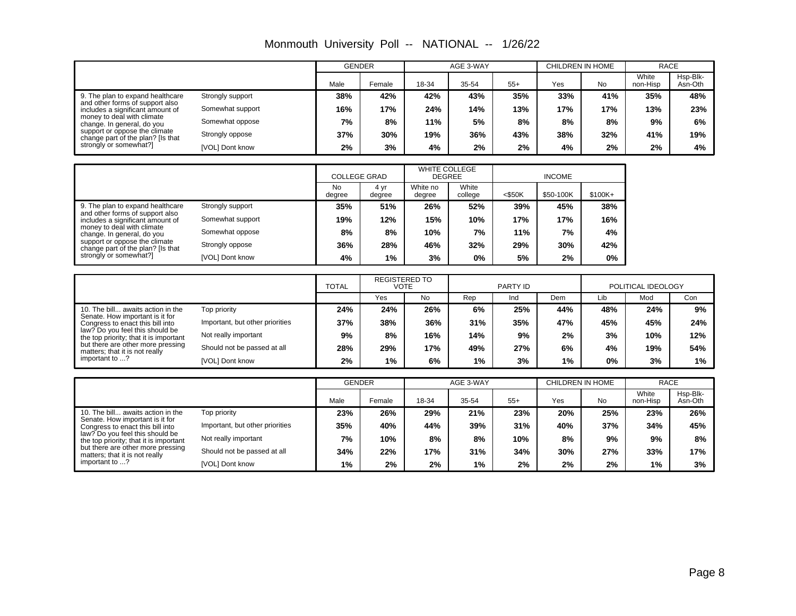|                                                                                                                                                                                                                                                                                  |                  |      | <b>GENDER</b> |       | AGE 3-WAY |       |     | CHILDREN IN HOME |                   | <b>RACE</b>         |
|----------------------------------------------------------------------------------------------------------------------------------------------------------------------------------------------------------------------------------------------------------------------------------|------------------|------|---------------|-------|-----------|-------|-----|------------------|-------------------|---------------------|
|                                                                                                                                                                                                                                                                                  |                  | Male | Female        | 18-34 | 35-54     | $55+$ | Yes | No               | White<br>non-Hisp | Hsp-Blk-<br>Asn-Oth |
| 9. The plan to expand healthcare<br>Strongly support<br>and other forms of support also<br>includes a significant amount of<br>money to deal with climate<br>change. In general, do you<br>support or oppose the climate<br>Strongly oppose<br>change part of the plan? [Is that |                  | 38%  | 42%           | 42%   | 43%       | 35%   | 33% | 41%              | 35%               | 48%                 |
|                                                                                                                                                                                                                                                                                  | Somewhat support | 16%  | 17%           | 24%   | 14%       | 13%   | 17% | 17%              | 13%               | 23%                 |
|                                                                                                                                                                                                                                                                                  | Somewhat oppose  | 7%   | 8%            | 11%   | 5%        | 8%    | 8%  | 8%               | 9%                | 6%                  |
|                                                                                                                                                                                                                                                                                  |                  | 37%  | 30%           | 19%   | 36%       | 43%   | 38% | 32%              | 41%               | 19%                 |
| strongly or somewhat?]                                                                                                                                                                                                                                                           | [VOL] Dont know  | 2%   | 3%            | 4%    | 2%        | 2%    | 4%  | 2%               | 2%                | 4%                  |

Monmouth University Poll -- NATIONAL -- 1/26/22

|                                                                                                                                                                                                                                                                                                                                                                             | <b>COLLEGE GRAD</b> |                | <b>WHITE COLLEGE</b><br><b>DEGREE</b> |                  |           |           |           |
|-----------------------------------------------------------------------------------------------------------------------------------------------------------------------------------------------------------------------------------------------------------------------------------------------------------------------------------------------------------------------------|---------------------|----------------|---------------------------------------|------------------|-----------|-----------|-----------|
|                                                                                                                                                                                                                                                                                                                                                                             | <b>No</b><br>degree | 4 vr<br>degree | White no<br>degree                    | White<br>college | $<$ \$50K | \$50-100K | $$100K +$ |
| 9. The plan to expand healthcare<br>Strongly support<br>and other forms of support also<br>Somewhat support<br>includes a significant amount of<br>money to deal with climate<br>Somewhat oppose<br>change. In general, do you<br>support or oppose the climate<br>Strongly oppose<br>change part of the plan? [Is that<br>strongly or somewhat?]<br><b>IVOLI Dont know</b> | 35%                 | 51%            | 26%                                   | 52%              | 39%       | 45%       | 38%       |
|                                                                                                                                                                                                                                                                                                                                                                             | 19%                 | 12%            | 15%                                   | 10%              | 17%       | 17%       | 16%       |
|                                                                                                                                                                                                                                                                                                                                                                             | 8%                  | 8%             | 10%                                   | 7%               | 11%       | 7%        | 4%        |
|                                                                                                                                                                                                                                                                                                                                                                             | 36%                 | 28%            | 46%                                   | 32%              | 29%       | 30%       | 42%       |
|                                                                                                                                                                                                                                                                                                                                                                             | 4%                  | $1\%$          | 3%                                    | 0%               | 5%        | 2%        | 0%        |

|                                                                                                                                                                                                                                                                                |                                 | <b>REGISTERED TO</b><br><b>TOTAL</b><br>VOTE |     | PARTY ID  |       |     | POLITICAL IDEOLOGY |     |     |     |
|--------------------------------------------------------------------------------------------------------------------------------------------------------------------------------------------------------------------------------------------------------------------------------|---------------------------------|----------------------------------------------|-----|-----------|-------|-----|--------------------|-----|-----|-----|
|                                                                                                                                                                                                                                                                                |                                 |                                              | Yes | <b>No</b> | Rep   | Ind | Dem                | Lib | Mod | Con |
| 10. The bill awaits action in the<br>Senate. How important is it for<br>Congress to enact this bill into<br>law? Do you feel this should be<br>the top priority; that it is important<br>but there are other more pressing<br>matters; that it is not really<br>important to ? | Top priority                    | 24%                                          | 24% | 26%       | 6%    | 25% | 44%                | 48% | 24% | 9%  |
|                                                                                                                                                                                                                                                                                | Important, but other priorities | 37%                                          | 38% | 36%       | 31%   | 35% | 47%                | 45% | 45% | 24% |
|                                                                                                                                                                                                                                                                                | Not really important            | 9%                                           | 8%  | 16%       | 14%   | 9%  | 2%                 | 3%  | 10% | 12% |
|                                                                                                                                                                                                                                                                                | Should not be passed at all     | 28%                                          | 29% | 17%       | 49%   | 27% | 6%                 | 4%  | 19% | 54% |
|                                                                                                                                                                                                                                                                                | [VOL] Dont know                 | 2%                                           | 1%  | 6%        | $1\%$ | 3%  | 1%                 | 0%  | 3%  | 1%  |

|                                                                                                                                                                                                                         |                                 | <b>GENDER</b> |        | AGE 3-WAY |       |       | CHILDREN IN HOME |           | <b>RACE</b>       |                     |
|-------------------------------------------------------------------------------------------------------------------------------------------------------------------------------------------------------------------------|---------------------------------|---------------|--------|-----------|-------|-------|------------------|-----------|-------------------|---------------------|
|                                                                                                                                                                                                                         |                                 | Male          | Female | 18-34     | 35-54 | $55+$ | Yes              | <b>No</b> | White<br>non-Hisp | Hsp-Blk-<br>Asn-Oth |
| 10. The bill awaits action in the                                                                                                                                                                                       | Top priority                    | 23%           | 26%    | 29%       | 21%   | 23%   | 20%              | 25%       | 23%               | 26%                 |
| Senate. How important is it for<br>Congress to enact this bill into<br>law? Do you feel this should be<br>the top priority; that it is important<br>but there are other more pressing<br>matters; that it is not really | Important, but other priorities | 35%           | 40%    | 44%       | 39%   | 31%   | 40%              | 37%       | 34%               | 45%                 |
|                                                                                                                                                                                                                         | Not really important            | 7%            | 10%    | 8%        | 8%    | 10%   | 8%               | 9%        | 9%                | 8%                  |
|                                                                                                                                                                                                                         | Should not be passed at all     | 34%           | 22%    | 17%       | 31%   | 34%   | 30%              | 27%       | 33%               | 17%                 |
| important to ?                                                                                                                                                                                                          | [VOL] Dont know                 | 1%            | 2%     | 2%        | $1\%$ | 2%    | 2%               | 2%        | 1%                | 3%                  |